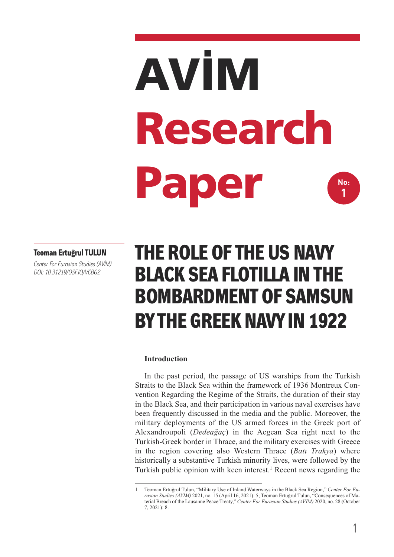# **AVİM Research Paper No: 1**

#### **Teoman Ertuğrul TULUN**

*Center For Eurasian Studies (AVİM) DOI: 10.31219/OSF.IO/VCBG2*

# **THE ROLE OF THE US NAVY BLACK SEA FLOTILLA IN THE BOMBARDMENT OF SAMSUN BY THE GREEK NAVY IN 1922**

#### **Introduction**

In the past period, the passage of US warships from the Turkish Straits to the Black Sea within the framework of 1936 Montreux Convention Regarding the Regime of the Straits, the duration of their stay in the Black Sea, and their participation in various naval exercises have been frequently discussed in the media and the public. Moreover, the military deployments of the US armed forces in the Greek port of Alexandroupoli (*Dedeağaç*) in the Aegean Sea right next to the Turkish-Greek border in Thrace, and the military exercises with Greece in the region covering also Western Thrace (*Batı Trakya*) where historically a substantive Turkish minority lives, were followed by the Turkish public opinion with keen interest.<sup>1</sup> Recent news regarding the

<sup>1</sup> Teoman Ertuğrul Tulun, "Military Use of Inland Waterways in the Black Sea Region," *Center For Eurasian Studies (AVİM)* 2021, no. 15 (April 16, 2021): 5; Teoman Ertuğrul Tulun, "Consequences of Material Breach of the Lausanne Peace Treaty," *Center For Eurasian Studies (AVİM)* 2020, no. 28 (October 7, 2021): 8.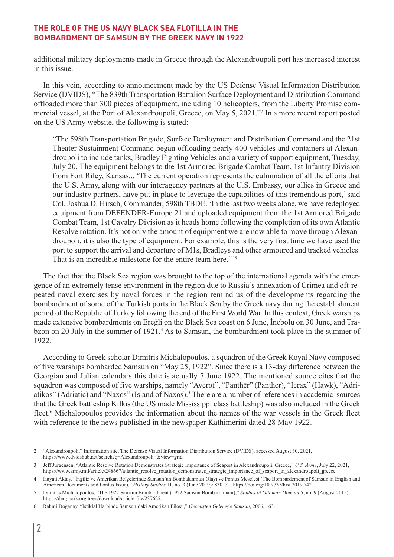additional military deployments made in Greece through the Alexandroupoli port has increased interest in this issue.

In this vein, according to announcement made by the US Defense Visual Information Distribution Service (DVIDS), "The 839th Transportation Battalion Surface Deployment and Distribution Command offloaded more than 300 pieces of equipment, including 10 helicopters, from the Liberty Promise commercial vessel, at the Port of Alexandroupoli, Greece, on May 5, 2021."2 In a more recent report posted on the US Army website, the following is stated:

"The 598th Transportation Brigade, Surface Deployment and Distribution Command and the 21st Theater Sustainment Command began offloading nearly 400 vehicles and containers at Alexandroupoli to include tanks, Bradley Fighting Vehicles and a variety of support equipment, Tuesday, July 20. The equipment belongs to the 1st Armored Brigade Combat Team, 1st Infantry Division from Fort Riley, Kansas... 'The current operation represents the culmination of all the efforts that the U.S. Army, along with our interagency partners at the U.S. Embassy, our allies in Greece and our industry partners, have put in place to leverage the capabilities of this tremendous port,' said Col. Joshua D. Hirsch, Commander, 598th TBDE. 'In the last two weeks alone, we have redeployed equipment from DEFENDER-Europe 21 and uploaded equipment from the 1st Armored Brigade Combat Team, 1st Cavalry Division as it heads home following the completion of its own Atlantic Resolve rotation. It's not only the amount of equipment we are now able to move through Alexandroupoli, it is also the type of equipment. For example, this is the very first time we have used the port to support the arrival and departure of M1s, Bradleys and other armoured and tracked vehicles. That is an incredible milestone for the entire team here."<sup>33</sup>

The fact that the Black Sea region was brought to the top of the international agenda with the emergence of an extremely tense environment in the region due to Russia's annexation of Crimea and oft-repeated naval exercises by naval forces in the region remind us of the developments regarding the bombardment of some of the Turkish ports in the Black Sea by the Greek navy during the establishment period of the Republic of Turkey following the end of the First World War. In this context, Greek warships made extensive bombardments on Ereğli on the Black Sea coast on 6 June, İnebolu on 30 June, and Trabzon on 20 July in the summer of 1921.<sup>4</sup> As to Samsun, the bombardment took place in the summer of 1922.

According to Greek scholar Dimitris Michalopoulos, a squadron of the Greek Royal Navy composed of five warships bombarded Samsun on "May 25, 1922". Since there is a 13-day difference between the Georgian and Julian calendars this date is actually 7 June 1922. The mentioned source cites that the squadron was composed of five warships, namely "Averof", "Panthēr" (Panther), "Ierax" (Hawk), "Adriatikos" (Adriatic) and "Naxos" (Island of Naxos).5 There are a number of references in academic sources that the Greek battleship Kilkis (the US made Mississippi class battleship) was also included in the Greek fleet.<sup>6</sup> Michalopoulos provides the information about the names of the war vessels in the Greek fleet with reference to the news published in the newspaper Kathimerini dated 28 May 1922.

<sup>2 &</sup>quot;Alexandroupoli," Information site, The Defense Visual Information Distribution Service (DVIDS), accessed August 30, 2021, https://www.dvidshub.net/search?q=Alexandroupoli+&view=grid.

<sup>3</sup> Jeff Jurgensen, "Atlantic Resolve Rotation Demonstrates Strategic Importance of Seaport in Alexandroupoli, Greece," *U.S. Army*, July 22, 2021, https://www.army.mil/article/248667/atlantic\_resolve\_rotation\_demonstrates\_strategic\_importance\_of\_seaport\_in\_alexandroupoli\_greece.

<sup>4</sup> Hayati Aktaş, "İngiliz ve Amerikan Belgelerinde Samsun'un Bombalanması Olayı ve Pontus Meselesi (The Bombardement of Samsun in English and American Documents and Pontus Issue)," *History Studies* 11, no. 3 (June 2019): 830–31, https://doi.org/10.9737/hist.2019.742.

<sup>5</sup> Dimitris Michalopoulos, "The 1922 Samsun Bombardment (1922 Samsun Bombardımanı)," *Studies of Ottoman Domain* 5, no. 9 (August 2015), https://dergipark.org.tr/en/download/article-file/237625.

<sup>6</sup> Rahmi Doğanay, "İstiklal Harbinde Samsun'daki Amerikan Filosu," *Geçmişten Geleceğe Samsun*, 2006, 163.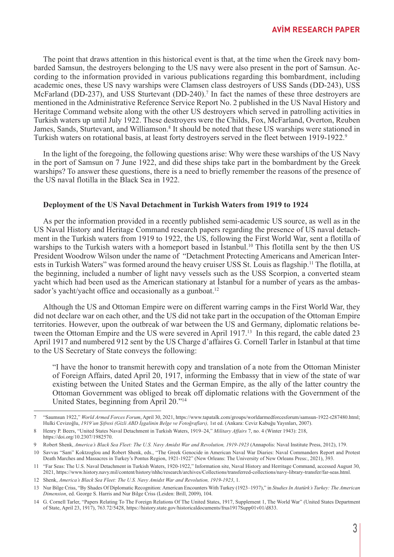The point that draws attention in this historical event is that, at the time when the Greek navy bombarded Samsun, the destroyers belonging to the US navy were also present in the port of Samsun. According to the information provided in various publications regarding this bombardment, including academic ones, these US navy warships were Clamsen class destroyers of USS Sands (DD-243), USS McFarland (DD-237), and USS Sturtevant (DD-240).<sup>7</sup> In fact the names of these three destroyers are mentioned in the Administrative Reference Service Report No. 2 published in the US Naval History and Heritage Command website along with the other US destroyers which served in patrolling activities in Turkish waters up until July 1922. These destroyers were the Childs, Fox, McFarland, Overton, Reuben James, Sands, Sturtevant, and Williamson.<sup>8</sup> It should be noted that these US warships were stationed in Turkish waters on rotational basis, at least forty destroyers served in the fleet between 1919-1922.9

In the light of the foregoing, the following questions arise: Why were these warships of the US Navy in the port of Samsun on 7 June 1922, and did these ships take part in the bombardment by the Greek warships? To answer these questions, there is a need to briefly remember the reasons of the presence of the US naval flotilla in the Black Sea in 1922.

#### **Deployment of the US Naval Detachment in Turkish Waters from 1919 to 1924**

As per the information provided in a recently published semi-academic US source, as well as in the US Naval History and Heritage Command research papers regarding the presence of US naval detachment in the Turkish waters from 1919 to 1922, the US, following the First World War, sent a flotilla of warships to the Turkish waters with a homeport based in Istanbul.<sup>10</sup> This flotilla sent by the then US President Woodrow Wilson under the name of "Detachment Protecting Americans and American Interests in Turkish Waters" was formed around the heavy cruiser USS St. Louis as flagship.11 The flotilla, at the beginning, included a number of light navy vessels such as the USS Scorpion, a converted steam yacht which had been used as the American stationary at İstanbul for a number of years as the ambassador's yacht/yacht office and occasionally as a gunboat.<sup>12</sup>

Although the US and Ottoman Empire were on different warring camps in the First World War, they did not declare war on each other, and the US did not take part in the occupation of the Ottoman Empire territories. However, upon the outbreak of war between the US and Germany, diplomatic relations between the Ottoman Empire and the US were severed in April 1917.<sup>13</sup> In this regard, the cable dated 23 April 1917 and numbered 912 sent by the US Charge d'affaires G. Cornell Tarler in Istanbul at that time to the US Secretary of State conveys the following:

"I have the honor to transmit herewith copy and translation of a note from the Ottoman Minister of Foreign Affairs, dated April 20, 1917, informing the Embassy that in view of the state of war existing between the United States and the German Empire, as the ally of the latter country the Ottoman Government was obliged to break off diplomatic relations with the Government of the United States, beginning from April 20."14

<sup>7 &</sup>quot;Saumsun 1922," *World Armed Forces Forum*, April 30, 2021, https://www.tapatalk.com/groups/worldarmedforcesforum/samsun-1922-t287480.html; Hulki Cevizoğlu, *1919'un Şifresi (Gizli ABD İşgalinin Belge ve Fotoğrafları),* 1st ed. (Ankara: Ceviz Kabuğu Yayınları, 2007).

<sup>8</sup> Henry P. Beers, "United States Naval Detachment in Turkish Waters, 1919–24," *Military Affairs* 7, no. 4 (Winter 1943): 218, https://doi.org/10.2307/1982570.

<sup>9</sup> Robert Shenk, *America's Black Sea Fleet: The U.S. Navy Amidst War and Revolution, 1919-1923* (Annapolis: Naval Institute Press, 2012), 179.

<sup>10</sup> Savvas "Sam" Koktzoglou and Robert Shenk, eds., "The Greek Genocide in American Naval War Diaries: Naval Commanders Report and Protest Death Marches and Massacres in Turkey's Pontus Region, 1921-1922" (New Orleans: The University of New Orleans Press:, 2021), 393.

<sup>11 &</sup>quot;Far Seas: The U.S. Naval Detachment in Turkish Waters, 1920-1922," Information site, Naval History and Herritage Command, accessed August 30, 2021, https://www.history.navy.mil/content/history/nhhc/research/archives/Collections/transferred-collections/navy-library-transfer/far-seas.html.

<sup>12</sup> Shenk, *America's Black Sea Fleet: The U.S. Navy Amidst War and Revolution, 1919-1923*, 1.

<sup>13</sup> Nur Bilge Criss, "By Shades Of Diplomatic Recognition: American Encounters With Turkey (1923–1937)," in *Studies In Atatürk's Turkey: The American Dimension*, ed. George S. Harris and Nur Bilge Criss (Leiden: Brill, 2009), 104.

<sup>14</sup> G. Cornell Tarler, "Papers Relating To The Foreign Relations Of The United States, 1917, Supplement 1, The World War" (United States Department of State, April 23, 1917), 763.72/5428, https://history.state.gov/historicaldocuments/frus1917Supp01v01/d833.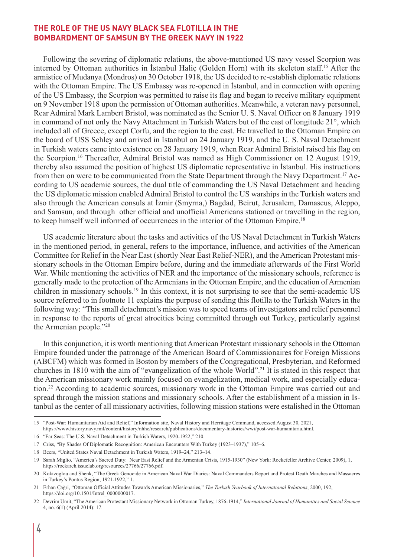Following the severing of diplomatic relations, the above-mentioned US navy vessel Scorpion was interned by Ottoman authorities in İstanbul Haliç (Golden Horn) with its skeleton staff.15 After the armistice of Mudanya (Mondros) on 30 October 1918, the US decided to re-establish diplomatic relations with the Ottoman Empire. The US Embassy was re-opened in İstanbul, and in connection with opening of the US Embassy, the Scorpion was permitted to raise its flag and began to receive military equipment on 9 November 1918 upon the permission of Ottoman authorities. Meanwhile, a veteran navy personnel, Rear Admiral Mark Lambert Bristol, was nominated as the Senior U. S. Naval Officer on 8 January 1919 in command of not only the Navy Attachment in Turkish Waters but of the east of longitude 21°, which included all of Greece, except Corfu, and the region to the east. He travelled to the Ottoman Empire on the board of USS Schley and arrived in İstanbul on 24 January 1919, and the U. S. Naval Detachment in Turkish waters came into existence on 28 January 1919, when Rear Admiral Bristol raised his flag on the Scorpion.16 Thereafter, Admiral Bristol was named as High Commissioner on 12 August 1919, thereby also assumed the position of highest US diplomatic representative in İstanbul. His instructions from then on were to be communicated from the State Department through the Navy Department.<sup>17</sup> According to US academic sources, the dual title of commanding the US Naval Detachment and heading the US diplomatic mission enabled Admiral Bristol to control the US warships in the Turkish waters and also through the American consuls at İzmir (Smyrna,) Bagdad, Beirut, Jerusalem, Damascus, Aleppo, and Samsun, and through other official and unofficial Americans stationed or travelling in the region, to keep himself well informed of occurrences in the interior of the Ottoman Empire.18

US academic literature about the tasks and activities of the US Naval Detachment in Turkish Waters in the mentioned period, in general, refers to the importance, influence, and activities of the American Committee for Relief in the Near East (shortly Near East Relief-NER), and the American Protestant missionary schools in the Ottoman Empire before, during and the immediate afterwards of the First World War. While mentioning the activities of NER and the importance of the missionary schools, reference is generally made to the protection of the Armenians in the Ottoman Empire, and the education of Armenian children in missionary schools.19 In this context, it is not surprising to see that the semi-academic US source referred to in footnote 11 explains the purpose of sending this flotilla to the Turkish Waters in the following way: "This small detachment's mission was to speed teams of investigators and relief personnel in response to the reports of great atrocities being committed through out Turkey, particularly against the Armenian people."20

In this conjunction, it is worth mentioning that American Protestant missionary schools in the Ottoman Empire founded under the patronage of the American Board of Commissionaires for Foreign Missions (ABCFM) which was formed in Boston by members of the Congregational, Presbyterian, and Reformed churches in 1810 with the aim of "evangelization of the whole World".21 It is stated in this respect that the American missionary work mainly focused on evangelization, medical work, and especially education.22 According to academic sources, missionary work in the Ottoman Empire was carried out and spread through the mission stations and missionary schools. After the establishment of a mission in Istanbul as the center of all missionary activities, following mission stations were estalished in the Ottoman

<sup>15 &</sup>quot;Post-War: Humanitarian Aid and Relief," Information site, Naval History and Herritage Command, accessed August 30, 2021, https://www.history.navy.mil/content/history/nhhc/research/publications/documentary-histories/wwi/post-war-humanitaria.html.

<sup>16 &</sup>quot;Far Seas: The U.S. Naval Detachment in Turkish Waters, 1920-1922," 210.

<sup>17</sup> Criss, "By Shades Of Diplomatic Recognition: American Encounters With Turkey (1923–1937)," 105–6.

<sup>18</sup> Beers, "United States Naval Detachment in Turkish Waters, 1919–24," 213–14.

<sup>19</sup> Sarah Miglio, "America's Sacred Duty: Near East Relief and the Armenian Crisis, 1915-1930" (New York: Rockefeller Archive Center, 2009), 1, https://rockarch.issuelab.org/resources/27766/27766.pdf.

<sup>20</sup> Koktzoglou and Shenk, "The Greek Genocide in American Naval War Diaries: Naval Commanders Report and Protest Death Marches and Massacres in Turkey's Pontus Region, 1921-1922," 1.

<sup>21</sup> Erhan Çağri, "Ottoman Official Attitudes Towards American Missionaries," *The Turkish Yearbook of International Relations*, 2000, 192, https://doi.org/10.1501/Intrel\_0000000017.

<sup>22</sup> Devrim Ümit, "The American Protestant Missionary Network in Ottoman Turkey, 1876-1914," *International Journal of Humanities and Social Science* 4, no. 6(1) (April 2014): 17.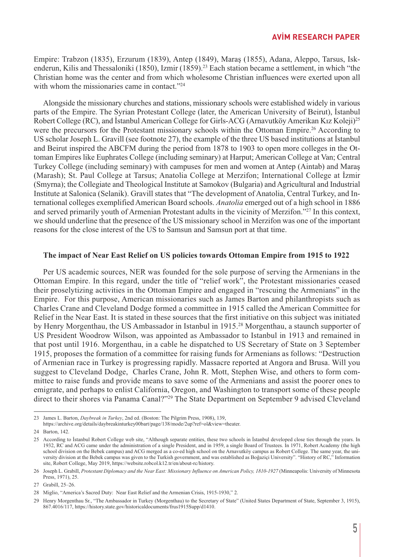Empire: Trabzon (1835), Erzurum (1839), Antep (1849), Maraş (1855), Adana, Aleppo, Tarsus, Iskenderun, Kilis and Thessaloniki (1850), Izmir (1859).<sup>23</sup> Each station became a settlement, in which "the Christian home was the center and from which wholesome Christian influences were exerted upon all with whom the missionaries came in contact."<sup>24</sup>

Alongside the missionary churches and stations, missionary schools were established widely in various parts of the Empire. The Syrian Protestant College (later, the American University of Beirut), İstanbul Robert College (RC), and İstanbul American College for Girls-ACG (Arnavutköy Amerikan Kız Koleji)<sup>25</sup> were the precursors for the Protestant missionary schools within the Ottoman Empire.<sup>26</sup> According to US scholar Joseph L. Gravill (see footnote 27), the example of the three US based institutions at İstanbul and Beirut inspired the ABCFM during the period from 1878 to 1903 to open more colleges in the Ottoman Empires like Euphrates College (including seminary) at Harput; American College at Van; Central Turkey College (including seminary) with campuses for men and women at Antep (Aintab) and Maraş (Marash); St. Paul College at Tarsus; Anatolia College at Merzifon; International College at İzmir (Smyrna); the Collegiate and Theological Institute at Samokov (Bulgaria) and Agricultural and Industrial Institute at Salonica (Selanik). Gravill states that "The development of Anatolia, Central Turkey, and International colleges exemplified American Board schools. *Anatolia* emerged out of a high school in 1886 and served primarily youth of Armenian Protestant adults in the vicinity of Merzifon."27 In this context, we should underline that the presence of the US missionary school in Merzifon was one of the important reasons for the close interest of the US to Samsun and Samsun port at that time.

#### **The impact of Near East Relief on US policies towards Ottoman Empire from 1915 to 1922**

Per US academic sources, NER was founded for the sole purpose of serving the Armenians in the Ottoman Empire. In this regard, under the title of "relief work", the Protestant missionaries ceased their proselytizing activities in the Ottoman Empire and engaged in "rescuing the Armenians" in the Empire. For this purpose, American missionaries such as James Barton and philanthropists such as Charles Crane and Cleveland Dodge formed a committee in 1915 called the American Committee for Relief in the Near East. It is stated in these sources that the first initiative on this subject was initiated by Henry Morgenthau, the US Ambassador in Istanbul in 1915.<sup>28</sup> Morgenthau, a staunch supporter of US President Woodrow Wilson, was appointed as Ambassador to Istanbul in 1913 and remained in that post until 1916. Morgenthau, in a cable he dispatched to US Secretary of State on 3 September 1915, proposes the formation of a committee for raising funds for Armenians as follows: "Destruction of Armenian race in Turkey is progressing rapidly. Massacre reported at Angora and Brusa. Will you suggest to Cleveland Dodge, Charles Crane, John R. Mott, Stephen Wise, and others to form committee to raise funds and provide means to save some of the Armenians and assist the poorer ones to emigrate, and perhaps to enlist California, Oregon, and Washington to transport some of these people direct to their shores via Panama Canal?"29 The State Department on September 9 advised Cleveland

<sup>23</sup> James L. Barton, *Daybreak in Turkey*, 2nd ed. (Boston: The Pilgrim Press, 1908), 139,

https://archive.org/details/daybreakinturkey00bart/page/138/mode/2up?ref=ol&view=theater.

<sup>24</sup> Barton, 142.

<sup>25</sup> According to İstanbul Robert College web site, "Although separate entities, these two schools in İstanbul developed close ties through the years. In 1932, RC and ACG came under the administration of a single President, and in 1959, a single Board of Trustees. In 1971, Robert Academy (the high school division on the Bebek campus) and ACG merged as a co-ed high school on the Arnavutköy campus as Robert College. The same year, the university division at the Bebek campus was given to the Turkish government, and was established as Boğaziçi University". "History of RC," Information site, Robert College, May 2019, https://website.robcol.k12.tr/en/about-rc/history.

<sup>26</sup> Joseph L. Grabill, *Protestant Diplomacy and the Near East: Missionary Influence on American Policy, 1810-1927* (Minneapolis: University of Minnesota Press, 1971), 25.

<sup>27</sup> Grabill, 25–26.

<sup>28</sup> Miglio, "America's Sacred Duty: Near East Relief and the Armenian Crisis, 1915-1930," 2.

<sup>29</sup> Henry Morgenthau Sr., "The Ambassador in Turkey (Morgenthau) to the Secretary of State" (United States Department of State, September 3, 1915), 867.4016/117, https://history.state.gov/historicaldocuments/frus1915Supp/d1410.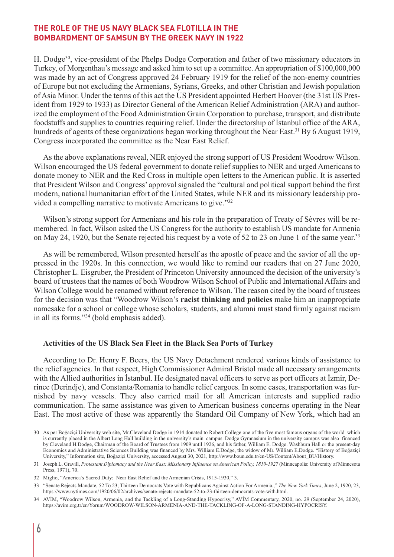H. Dodge30, vice-president of the Phelps Dodge Corporation and father of two missionary educators in Turkey, of Morgenthau's message and asked him to set up a committee. An appropriation of \$100,000,000 was made by an act of Congress approved 24 February 1919 for the relief of the non-enemy countries of Europe but not excluding the Armenians, Syrians, Greeks, and other Christian and Jewish population of Asia Minor. Under the terms of this act the US President appointed Herbert Hoover (the 31st US President from 1929 to 1933) as Director General of the American Relief Administration (ARA) and authorized the employment of the Food Administration Grain Corporation to purchase, transport, and distribute foodstuffs and supplies to countries requiring relief. Under the directorship of İstanbul office of the ARA, hundreds of agents of these organizations began working throughout the Near East.<sup>31</sup> By 6 August 1919, Congress incorporated the committee as the Near East Relief.

As the above explanations reveal, NER enjoyed the strong support of US President Woodrow Wilson. Wilson encouraged the US federal government to donate relief supplies to NER and urged Americans to donate money to NER and the Red Cross in multiple open letters to the American public. It is asserted that President Wilson and Congress' approval signaled the "cultural and political support behind the first modern, national humanitarian effort of the United States, while NER and its missionary leadership provided a compelling narrative to motivate Americans to give."32

Wilson's strong support for Armenians and his role in the preparation of Treaty of Sèvres will be remembered. In fact, Wilson asked the US Congress for the authority to establish US mandate for Armenia on May 24, 1920, but the Senate rejected his request by a vote of 52 to 23 on June 1 of the same year.<sup>33</sup>

As will be remembered, Wilson presented herself as the apostle of peace and the savior of all the oppressed in the 1920s. In this connection, we would like to remind our readers that on 27 June 2020, Christopher L. Eisgruber, the President of Princeton University announced the decision of the university's board of trustees that the names of both Woodrow Wilson School of Public and International Affairs and Wilson College would be renamed without reference to Wilson. The reason cited by the board of trustees for the decision was that "Woodrow Wilson's **racist thinking and policies** make him an inappropriate namesake for a school or college whose scholars, students, and alumni must stand firmly against racism in all its forms."34 (bold emphasis added).

#### **Activities of the US Black Sea Fleet in the Black Sea Ports of Turkey**

According to Dr. Henry F. Beers, the US Navy Detachment rendered various kinds of assistance to the relief agencies. In that respect, High Commissioner Admiral Bristol made all necessary arrangements with the Allied authorities in İstanbul. He designated naval officers to serve as port officers at İzmir, Derince (Derindje), and Constanta/Romania to handle relief cargoes. In some cases, transportation was furnished by navy vessels. They also carried mail for all American interests and supplied radio communication. The same assistance was given to American business concerns operating in the Near East. The most active of these was apparently the Standard Oil Company of New York, which had an

<sup>30</sup> As per Boğaziçi University web site, Mr.Cleveland Dodge in 1914 donated to Robert College one of the five most famous organs of the world which is currently placed in the Albert Long Hall building in the university's main campus. Dodge Gymnasium in the university campus was also financed by Cleveland H.Dodge, Chairman of the Board of Trustees from 1909 until 1926, and his father, William E. Dodge. Washburn Hall or the present-day Economics and Administrative Sciences Building was financed by Mrs. William E.Dodge, the widow of Mr. William E.Dodge. "History of Boğaziçi University," Information site, Boğaziçi University, accessed August 30, 2021, http://www.boun.edu.tr/en-US/Content/About\_BU/History.

<sup>31</sup> Joseph L. Gravill, *Protestant Diplomacy and the Near East: Missionary Influence on American Policy, 1810-1927* (Minneapolis: University of Minnesota Press, 1971), 70.

<sup>32</sup> Miglio, "America's Sacred Duty: Near East Relief and the Armenian Crisis, 1915-1930," 3.

<sup>33 &</sup>quot;Senate Rejects Mandate, 52 To 23; Thirteen Democrats Vote with Republicans Against Action For Armenia.," *The New York Times*, June 2, 1920, 23, https://www.nytimes.com/1920/06/02/archives/senate-rejects-mandate-52-to-23-thirteen-democrats-vote-with.html.

<sup>34</sup> AVİM, "Woodrow Wilson, Armenia, and the Tackling of a Long-Standing Hypocrisy," AVİM Commentary, 2020, no. 29 (September 24, 2020), https://avim.org.tr/en/Yorum/WOODROW-WILSON-ARMENIA-AND-THE-TACKLING-OF-A-LONG-STANDING-HYPOCRISY.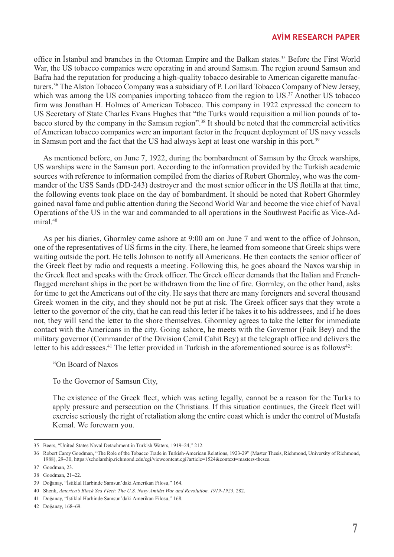#### **AVİM RESEARCH PAPER**

office in İstanbul and branches in the Ottoman Empire and the Balkan states.35 Before the First World War, the US tobacco companies were operating in and around Samsun. The region around Samsun and Bafra had the reputation for producing a high-quality tobacco desirable to American cigarette manufacturers.36 The Alston Tobacco Company was a subsidiary of P. Lorillard Tobacco Company of New Jersey, which was among the US companies importing tobacco from the region to US.<sup>37</sup> Another US tobacco firm was Jonathan H. Holmes of American Tobacco. This company in 1922 expressed the concern to US Secretary of State Charles Evans Hughes that "the Turks would requisition a million pounds of tobacco stored by the company in the Samsun region".38 It should be noted that the commercial activities of American tobacco companies were an important factor in the frequent deployment of US navy vessels in Samsun port and the fact that the US had always kept at least one warship in this port.39

As mentioned before, on June 7, 1922, during the bombardment of Samsun by the Greek warships, US warships were in the Samsun port. According to the information provided by the Turkish academic sources with reference to information compiled from the diaries of Robert Ghormley, who was the commander of the USS Sands (DD-243) destroyer and the most senior officer in the US flotilla at that time, the following events took place on the day of bombardment. It should be noted that Robert Ghormley gained naval fame and public attention during the Second World War and become the vice chief of Naval Operations of the US in the war and commanded to all operations in the Southwest Pacific as Vice-Admiral.40

As per his diaries, Ghormley came ashore at 9:00 am on June 7 and went to the office of Johnson, one of the representatives of US firms in the city. There, he learned from someone that Greek ships were waiting outside the port. He tells Johnson to notify all Americans. He then contacts the senior officer of the Greek fleet by radio and requests a meeting. Following this, he goes aboard the Naxos warship in the Greek fleet and speaks with the Greek officer. The Greek officer demands that the Italian and Frenchflagged merchant ships in the port be withdrawn from the line of fire. Gormley, on the other hand, asks for time to get the Americans out of the city. He says that there are many foreigners and several thousand Greek women in the city, and they should not be put at risk. The Greek officer says that they wrote a letter to the governor of the city, that he can read this letter if he takes it to his addressees, and if he does not, they will send the letter to the shore themselves. Ghormley agrees to take the letter for immediate contact with the Americans in the city. Going ashore, he meets with the Governor (Faik Bey) and the military governor (Commander of the Division Cemil Cahit Bey) at the telegraph office and delivers the letter to his addressees.<sup>41</sup> The letter provided in Turkish in the aforementioned source is as follows<sup>42</sup>:

"On Board of Naxos

To the Governor of Samsun City,

The existence of the Greek fleet, which was acting legally, cannot be a reason for the Turks to apply pressure and persecution on the Christians. If this situation continues, the Greek fleet will exercise seriously the right of retaliation along the entire coast which is under the control of Mustafa Kemal. We forewarn you.

<sup>35</sup> Beers, "United States Naval Detachment in Turkish Waters, 1919–24," 212.

<sup>36</sup> Robert Carey Goodman, "The Role of the Tobacco Trade in Turkish-American Relations, 1923-29" (Master Thesis, Richmond, University of Richmond, 1988), 29–30, https://scholarship.richmond.edu/cgi/viewcontent.cgi?article=1524&context=masters-theses.

<sup>37</sup> Goodman, 23.

<sup>38</sup> Goodman, 21–22.

<sup>39</sup> Doğanay, "İstiklal Harbinde Samsun'daki Amerikan Filosu," 164.

<sup>40</sup> Shenk, *America's Black Sea Fleet: The U.S. Navy Amidst War and Revolution, 1919-1923*, 282.

<sup>41</sup> Doğanay, "İstiklal Harbinde Samsun'daki Amerikan Filosu," 168.

<sup>42</sup> Doğanay, 168–69.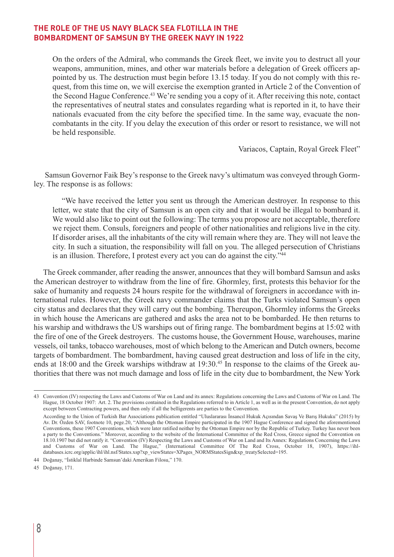On the orders of the Admiral, who commands the Greek fleet, we invite you to destruct all your weapons, ammunition, mines, and other war materials before a delegation of Greek officers appointed by us. The destruction must begin before 13.15 today. If you do not comply with this request, from this time on, we will exercise the exemption granted in Article 2 of the Convention of the Second Hague Conference.<sup>43</sup> We're sending you a copy of it. After receiving this note, contact the representatives of neutral states and consulates regarding what is reported in it, to have their nationals evacuated from the city before the specified time. In the same way, evacuate the noncombatants in the city. If you delay the execution of this order or resort to resistance, we will not be held responsible.

Variacos, Captain, Royal Greek Fleet"

Samsun Governor Faik Bey's response to the Greek navy's ultimatum was conveyed through Gormley. The response is as follows:

"We have received the letter you sent us through the American destroyer. In response to this letter, we state that the city of Samsun is an open city and that it would be illegal to bombard it. We would also like to point out the following: The terms you propose are not acceptable, therefore we reject them. Consuls, foreigners and people of other nationalities and religions live in the city. If disorder arises, all the inhabitants of the city will remain where they are. They will not leave the city. In such a situation, the responsibility will fall on you. The alleged persecution of Christians is an illusion. Therefore, I protest every act you can do against the city."<sup>44</sup>

The Greek commander, after reading the answer, announces that they will bombard Samsun and asks the American destroyer to withdraw from the line of fire. Ghormley, first, protests this behavior for the sake of humanity and requests 24 hours respite for the withdrawal of foreigners in accordance with international rules. However, the Greek navy commander claims that the Turks violated Samsun's open city status and declares that they will carry out the bombing. Thereupon, Ghormley informs the Greeks in which house the Americans are gathered and asks the area not to be bombarded. He then returns to his warship and withdraws the US warships out of firing range. The bombardment begins at 15:02 with the fire of one of the Greek destroyers. The customs house, the Government House, warehouses, marine vessels, oil tanks, tobacco warehouses, most of which belong to the American and Dutch owners, become targets of bombardment. The bombardment, having caused great destruction and loss of life in the city, ends at 18:00 and the Greek warships withdraw at 19:30.<sup>45</sup> In response to the claims of the Greek authorities that there was not much damage and loss of life in the city due to bombardment, the New York

<sup>43</sup> Convention (IV) respecting the Laws and Customs of War on Land and its annex: Regulations concerning the Laws and Customs of War on Land. The Hague, 18 October 1907: Art. 2. The provisions contained in the Regulations referred to in Article 1, as well as in the present Convention, do not apply except between Contracting powers, and then only if all the belligerents are parties to the Convention.

According to the Union of Turkish Bar Associations publication entitled "Uluslararası İnsancıl Hukuk Açısından Savaş Ve Barış Hukuku" (2015) by Av. Dr. Özden SAV, footnote 10, pege.20, "Although the Ottoman Empire participated in the 1907 Hague Conference and signed the aforementioned Conventions, these 1907 Conventions, which were later ratified neither by the Ottoman Empire nor by the Republic of Turkey. Turkey has never been a party to the Conventions." Moreover, according to the website of the International Committee of the Red Cross, Greece signed the Convention on 18.10.1907 but did not ratify it. "Convention (IV) Respecting the Laws and Customs of War on Land and Its Annex: Regulations Concerning the Laws and Customs of War on Land. The Hague," (International Committee Of The Red Cross, October 18, 1907), https://ihldatabases.icrc.org/applic/ihl/ihl.nsf/States.xsp?xp\_viewStates=XPages\_NORMStatesSign&xp\_treatySelected=195.

<sup>44</sup> Doğanay, "İstiklal Harbinde Samsun'daki Amerikan Filosu," 170.

<sup>45</sup> Doğanay, 171.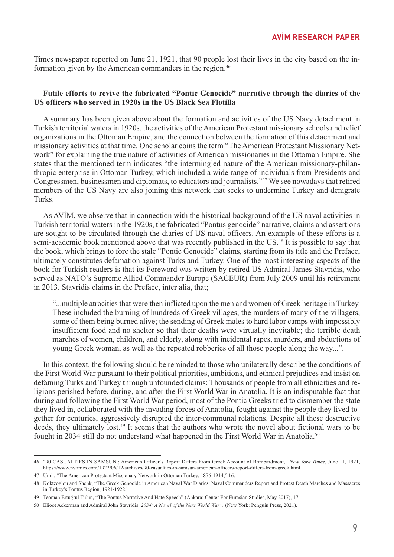Times newspaper reported on June 21, 1921, that 90 people lost their lives in the city based on the information given by the American commanders in the region.<sup>46</sup>

#### **Futile efforts to revive the fabricated "Pontic Genocide" narrative through the diaries of the US officers who served in 1920s in the US Black Sea Flotilla**

A summary has been given above about the formation and activities of the US Navy detachment in Turkish territorial waters in 1920s, the activities of the American Protestant missionary schools and relief organizations in the Ottoman Empire, and the connection between the formation of this detachment and missionary activities at that time. One scholar coins the term "The American Protestant Missionary Network" for explaining the true nature of activities of American missionaries in the Ottoman Empire. She states that the mentioned term indicates "the intermingled nature of the American missionary-philanthropic enterprise in Ottoman Turkey, which included a wide range of individuals from Presidents and Congressmen, businessmen and diplomats, to educators and journalists."47 We see nowadays that retired members of the US Navy are also joining this network that seeks to undermine Turkey and denigrate Turks.

As AVİM, we observe that in connection with the historical background of the US naval activities in Turkish territorial waters in the 1920s, the fabricated "Pontus genocide" narrative, claims and assertions are sought to be circulated through the diaries of US naval officers. An example of these efforts is a semi-academic book mentioned above that was recently published in the US.<sup>48</sup> It is possible to say that the book, which brings to fore the stale "Pontic Genocide" claims, starting from its title and the Preface, ultimately constitutes defamation against Turks and Turkey. One of the most interesting aspects of the book for Turkish readers is that its Foreword was written by retired US Admiral James Stavridis, who served as NATO's Supreme Allied Commander Europe (SACEUR) from July 2009 until his retirement in 2013. Stavridis claims in the Preface, inter alia, that;

"...multiple atrocities that were then inflicted upon the men and women of Greek heritage in Turkey. These included the burning of hundreds of Greek villages, the murders of many of the villagers, some of them being burned alive; the sending of Greek males to hard labor camps with impossibly insufficient food and no shelter so that their deaths were virtually inevitable; the terrible death marches of women, children, and elderly, along with incidental rapes, murders, and abductions of young Greek woman, as well as the repeated robberies of all those people along the way...".

In this context, the following should be reminded to those who unilaterally describe the conditions of the First World War pursuant to their political priorities, ambitions, and ethnical prejudices and insist on defaming Turks and Turkey through unfounded claims: Thousands of people from all ethnicities and religions perished before, during, and after the First World War in Anatolia. It is an indisputable fact that during and following the First World War period, most of the Pontic Greeks tried to dismember the state they lived in, collaborated with the invading forces of Anatolia, fought against the people they lived together for centuries, aggressively disrupted the inter-communal relations. Despite all these destructive deeds, they ultimately lost.<sup>49</sup> It seems that the authors who wrote the novel about fictional wars to be fought in 2034 still do not understand what happened in the First World War in Anatolia.50

<sup>46 &</sup>quot;90 CASUALTIES IN SAMSUN.; American Officer's Report Differs From Greek Account of Bombardment," *New York Times*, June 11, 1921, https://www.nytimes.com/1922/06/12/archives/90-casualties-in-samsun-american-officers-report-differs-from-greek.html.

<sup>47</sup> Ümit, "The American Protestant Missionary Network in Ottoman Turkey, 1876-1914," 16.

<sup>48</sup> Koktzoglou and Shenk, "The Greek Genocide in American Naval War Diaries: Naval Commanders Report and Protest Death Marches and Massacres in Turkey's Pontus Region, 1921-1922."

<sup>49</sup> Teoman Ertuğrul Tulun, "The Pontus Narrative And Hate Speech" (Ankara: Center For Eurasian Studies, May 2017), 17.

<sup>50</sup> Elioot Ackerman and Admiral John Stavridis, *2034: A Novel of the Next World War".* (New York: Penguin Press, 2021).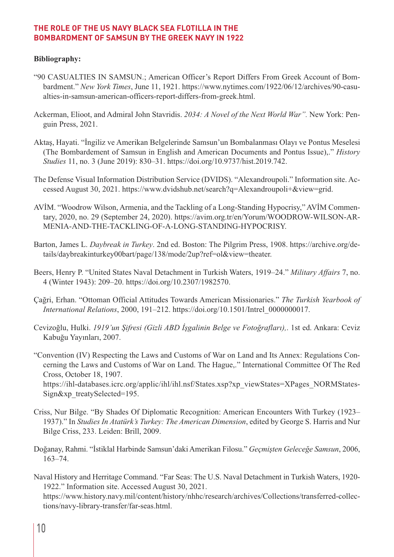### **Bibliography:**

- "90 CASUALTIES IN SAMSUN.; American Officer's Report Differs From Greek Account of Bombardment." *New York Times*, June 11, 1921. https://www.nytimes.com/1922/06/12/archives/90-casualties-in-samsun-american-officers-report-differs-from-greek.html.
- Ackerman, Elioot, and Admiral John Stavridis. *2034: A Novel of the Next World War".* New York: Penguin Press, 2021.
- Aktaş, Hayati. "İngiliz ve Amerikan Belgelerinde Samsun'un Bombalanması Olayı ve Pontus Meselesi (The Bombardement of Samsun in English and American Documents and Pontus Issue),." *History Studies* 11, no. 3 (June 2019): 830–31. https://doi.org/10.9737/hist.2019.742.
- The Defense Visual Information Distribution Service (DVIDS). "Alexandroupoli." Information site. Accessed August 30, 2021. https://www.dvidshub.net/search?q=Alexandroupoli+&view=grid.
- AVİM. "Woodrow Wilson, Armenia, and the Tackling of a Long-Standing Hypocrisy," AVİM Commentary, 2020, no. 29 (September 24, 2020). https://avim.org.tr/en/Yorum/WOODROW-WILSON-AR-MENIA-AND-THE-TACKLING-OF-A-LONG-STANDING-HYPOCRISY.
- Barton, James L. *Daybreak in Turkey*. 2nd ed. Boston: The Pilgrim Press, 1908. https://archive.org/details/daybreakinturkey00bart/page/138/mode/2up?ref=ol&view=theater.
- Beers, Henry P. "United States Naval Detachment in Turkish Waters, 1919–24." *Military Affairs* 7, no. 4 (Winter 1943): 209–20. https://doi.org/10.2307/1982570.
- Çağri, Erhan. "Ottoman Official Attitudes Towards American Missionaries." *The Turkish Yearbook of International Relations*, 2000, 191–212. https://doi.org/10.1501/Intrel\_0000000017.
- Cevizoğlu, Hulki. *1919'un Şifresi (Gizli ABD İşgalinin Belge ve Fotoğrafları),*. 1st ed. Ankara: Ceviz Kabuğu Yayınları, 2007.
- "Convention (IV) Respecting the Laws and Customs of War on Land and Its Annex: Regulations Concerning the Laws and Customs of War on Land. The Hague,." International Committee Of The Red Cross, October 18, 1907.

https://ihl-databases.icrc.org/applic/ihl/ihl.nsf/States.xsp?xp\_viewStates=XPages\_NORMStates-Sign&xp\_treatySelected=195.

- Criss, Nur Bilge. "By Shades Of Diplomatic Recognition: American Encounters With Turkey (1923– 1937)." In *Studies In Atatürk's Turkey: The American Dimension*, edited by George S. Harris and Nur Bilge Criss, 233. Leiden: Brill, 2009.
- Doğanay, Rahmi. "İstiklal Harbinde Samsun'daki Amerikan Filosu." *Geçmişten Geleceğe Samsun*, 2006, 163–74.
- Naval History and Herritage Command. "Far Seas: The U.S. Naval Detachment in Turkish Waters, 1920- 1922." Information site. Accessed August 30, 2021.

https://www.history.navy.mil/content/history/nhhc/research/archives/Collections/transferred-collections/navy-library-transfer/far-seas.html.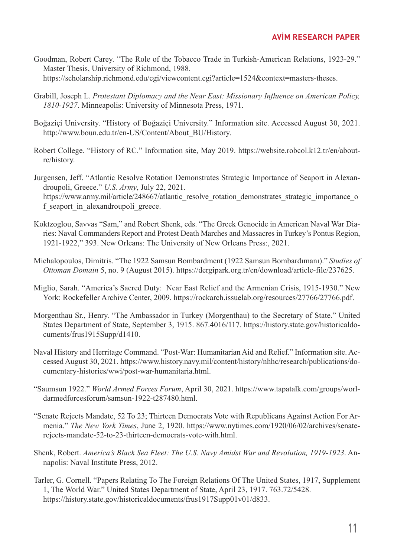- Goodman, Robert Carey. "The Role of the Tobacco Trade in Turkish-American Relations, 1923-29." Master Thesis, University of Richmond, 1988. https://scholarship.richmond.edu/cgi/viewcontent.cgi?article=1524&context=masters-theses.
- Grabill, Joseph L. *Protestant Diplomacy and the Near East: Missionary Influence on American Policy, 1810-1927*. Minneapolis: University of Minnesota Press, 1971.
- Boğaziçi University. "History of Boğaziçi University." Information site. Accessed August 30, 2021. http://www.boun.edu.tr/en-US/Content/About\_BU/History.
- Robert College. "History of RC." Information site, May 2019. https://website.robcol.k12.tr/en/aboutrc/history.
- Jurgensen, Jeff. "Atlantic Resolve Rotation Demonstrates Strategic Importance of Seaport in Alexandroupoli, Greece." *U.S. Army*, July 22, 2021. https://www.army.mil/article/248667/atlantic\_resolve\_rotation\_demonstrates\_strategic\_importance\_o f seaport in alexandroupoli greece.
- Koktzoglou, Savvas "Sam," and Robert Shenk, eds. "The Greek Genocide in American Naval War Diaries: Naval Commanders Report and Protest Death Marches and Massacres in Turkey's Pontus Region, 1921-1922," 393. New Orleans: The University of New Orleans Press:, 2021.
- Michalopoulos, Dimitris. "The 1922 Samsun Bombardment (1922 Samsun Bombardımanı)." *Studies of Ottoman Domain* 5, no. 9 (August 2015). https://dergipark.org.tr/en/download/article-file/237625.
- Miglio, Sarah. "America's Sacred Duty: Near East Relief and the Armenian Crisis, 1915-1930." New York: Rockefeller Archive Center, 2009. https://rockarch.issuelab.org/resources/27766/27766.pdf.
- Morgenthau Sr., Henry. "The Ambassador in Turkey (Morgenthau) to the Secretary of State." United States Department of State, September 3, 1915. 867.4016/117. https://history.state.gov/historicaldocuments/frus1915Supp/d1410.
- Naval History and Herritage Command. "Post-War: Humanitarian Aid and Relief." Information site. Accessed August 30, 2021. https://www.history.navy.mil/content/history/nhhc/research/publications/documentary-histories/wwi/post-war-humanitaria.html.
- "Saumsun 1922." *World Armed Forces Forum*, April 30, 2021. https://www.tapatalk.com/groups/worldarmedforcesforum/samsun-1922-t287480.html.
- "Senate Rejects Mandate, 52 To 23; Thirteen Democrats Vote with Republicans Against Action For Armenia." *The New York Times*, June 2, 1920. https://www.nytimes.com/1920/06/02/archives/senaterejects-mandate-52-to-23-thirteen-democrats-vote-with.html.
- Shenk, Robert. *America's Black Sea Fleet: The U.S. Navy Amidst War and Revolution, 1919-1923*. Annapolis: Naval Institute Press, 2012.
- Tarler, G. Cornell. "Papers Relating To The Foreign Relations Of The United States, 1917, Supplement 1, The World War." United States Department of State, April 23, 1917. 763.72/5428. https://history.state.gov/historicaldocuments/frus1917Supp01v01/d833.